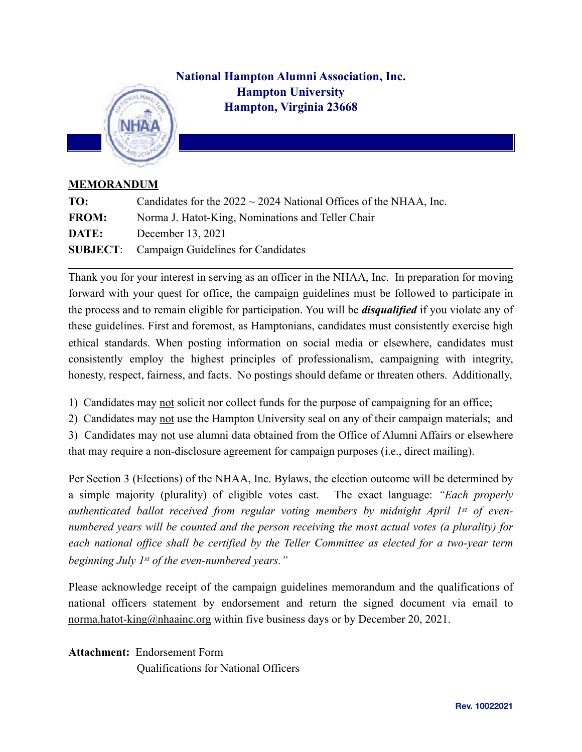## **National Hampton Alumni Association, Inc. Hampton University Hampton, Virginia 23668**



## **MEMORANDUM**

| TO:          | Candidates for the $2022 \sim 2024$ National Offices of the NHAA, Inc. |
|--------------|------------------------------------------------------------------------|
| <b>FROM:</b> | Norma J. Hatot-King, Nominations and Teller Chair                      |
| DATE:        | December 13, 2021                                                      |
|              | <b>SUBJECT:</b> Campaign Guidelines for Candidates                     |

Thank you for your interest in serving as an officer in the NHAA, Inc. In preparation for moving forward with your quest for office, the campaign guidelines must be followed to participate in the process and to remain eligible for participation. You will be *disqualified* if you violate any of these guidelines. First and foremost, as Hamptonians, candidates must consistently exercise high ethical standards. When posting information on social media or elsewhere, candidates must consistently employ the highest principles of professionalism, campaigning with integrity, honesty, respect, fairness, and facts. No postings should defame or threaten others. Additionally,

- 1) Candidates may not solicit nor collect funds for the purpose of campaigning for an office;
- 2) Candidates may not use the Hampton University seal on any of their campaign materials; and

3) Candidates may not use alumni data obtained from the Office of Alumni Affairs or elsewhere that may require a non-disclosure agreement for campaign purposes (i.e., direct mailing).

Per Section 3 (Elections) of the NHAA, Inc. Bylaws, the election outcome will be determined by a simple majority (plurality) of eligible votes cast. The exact language: *"Each properly authenticated ballot received from regular voting members by midnight April 1st of evennumbered years will be counted and the person receiving the most actual votes (a plurality) for each national office shall be certified by the Teller Committee as elected for a two-year term beginning July 1st of the even-numbered years."* 

Please acknowledge receipt of the campaign guidelines memorandum and the qualifications of national officers statement by endorsement and return the signed document via email to [norma.hatot-king@nhaainc.org](mailto:norma.hatot-king@nhaainc.org) within five business days or by December 20, 2021.

**Attachment:** Endorsement Form Qualifications for National Officers